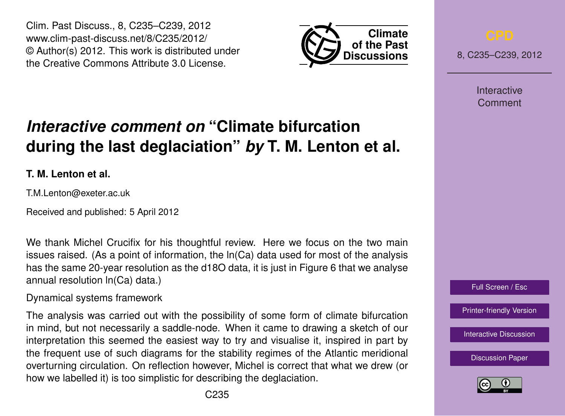Clim. Past Discuss., 8, C235–C239, 2012 www.clim-past-discuss.net/8/C235/2012/ © Author(s) 2012. This work is distributed under the Creative Commons Attribute 3.0 License.



8, C235–C239, 2012

Interactive Comment

### Full Screen / Esc

[Printer-friendly Version](http://www.clim-past-discuss.net/8/C235/2012/cpd-8-C235-2012-print.pdf)

[Interactive Discussion](http://www.clim-past-discuss.net/8/321/2012/cpd-8-321-2012-discussion.html)

[Discussion Paper](http://www.clim-past-discuss.net/8/321/2012/cpd-8-321-2012.pdf)



# *Interactive comment on* **"Climate bifurcation during the last deglaciation"** *by* **T. M. Lenton et al.**

**T. M. Lenton et al.**

T.M.Lenton@exeter.ac.uk

Received and published: 5 April 2012

We thank Michel Crucifix for his thoughtful review. Here we focus on the two main issues raised. (As a point of information, the ln(Ca) data used for most of the analysis has the same 20-year resolution as the d18O data, it is just in Figure 6 that we analyse annual resolution ln(Ca) data.)

Dynamical systems framework

The analysis was carried out with the possibility of some form of climate bifurcation in mind, but not necessarily a saddle-node. When it came to drawing a sketch of our interpretation this seemed the easiest way to try and visualise it, inspired in part by the frequent use of such diagrams for the stability regimes of the Atlantic meridional overturning circulation. On reflection however, Michel is correct that what we drew (or how we labelled it) is too simplistic for describing the deglaciation.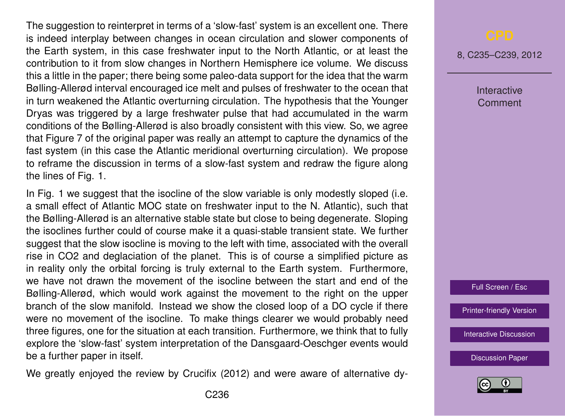The suggestion to reinterpret in terms of a 'slow-fast' system is an excellent one. There is indeed interplay between changes in ocean circulation and slower components of the Earth system, in this case freshwater input to the North Atlantic, or at least the contribution to it from slow changes in Northern Hemisphere ice volume. We discuss this a little in the paper; there being some paleo-data support for the idea that the warm Bølling-Allerød interval encouraged ice melt and pulses of freshwater to the ocean that in turn weakened the Atlantic overturning circulation. The hypothesis that the Younger Dryas was triggered by a large freshwater pulse that had accumulated in the warm conditions of the Bølling-Allerød is also broadly consistent with this view. So, we agree that Figure 7 of the original paper was really an attempt to capture the dynamics of the fast system (in this case the Atlantic meridional overturning circulation). We propose to reframe the discussion in terms of a slow-fast system and redraw the figure along the lines of Fig. 1.

In Fig. 1 we suggest that the isocline of the slow variable is only modestly sloped (i.e. a small effect of Atlantic MOC state on freshwater input to the N. Atlantic), such that the Bølling-Allerød is an alternative stable state but close to being degenerate. Sloping the isoclines further could of course make it a quasi-stable transient state. We further suggest that the slow isocline is moving to the left with time, associated with the overall rise in CO2 and deglaciation of the planet. This is of course a simplified picture as in reality only the orbital forcing is truly external to the Earth system. Furthermore, we have not drawn the movement of the isocline between the start and end of the Bølling-Allerød, which would work against the movement to the right on the upper branch of the slow manifold. Instead we show the closed loop of a DO cycle if there were no movement of the isocline. To make things clearer we would probably need three figures, one for the situation at each transition. Furthermore, we think that to fully explore the 'slow-fast' system interpretation of the Dansgaard-Oeschger events would be a further paper in itself.

We greatly enjoyed the review by Crucifix (2012) and were aware of alternative dy-

8, C235–C239, 2012

Interactive Comment

Full Screen / Esc

[Printer-friendly Version](http://www.clim-past-discuss.net/8/C235/2012/cpd-8-C235-2012-print.pdf)

[Interactive Discussion](http://www.clim-past-discuss.net/8/321/2012/cpd-8-321-2012-discussion.html)

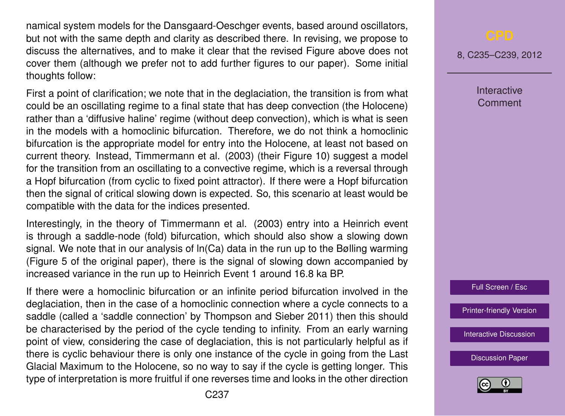namical system models for the Dansgaard-Oeschger events, based around oscillators, but not with the same depth and clarity as described there. In revising, we propose to discuss the alternatives, and to make it clear that the revised Figure above does not cover them (although we prefer not to add further figures to our paper). Some initial thoughts follow:

First a point of clarification; we note that in the deglaciation, the transition is from what could be an oscillating regime to a final state that has deep convection (the Holocene) rather than a 'diffusive haline' regime (without deep convection), which is what is seen in the models with a homoclinic bifurcation. Therefore, we do not think a homoclinic bifurcation is the appropriate model for entry into the Holocene, at least not based on current theory. Instead, Timmermann et al. (2003) (their Figure 10) suggest a model for the transition from an oscillating to a convective regime, which is a reversal through a Hopf bifurcation (from cyclic to fixed point attractor). If there were a Hopf bifurcation then the signal of critical slowing down is expected. So, this scenario at least would be compatible with the data for the indices presented.

Interestingly, in the theory of Timmermann et al. (2003) entry into a Heinrich event is through a saddle-node (fold) bifurcation, which should also show a slowing down signal. We note that in our analysis of ln(Ca) data in the run up to the Bølling warming (Figure 5 of the original paper), there is the signal of slowing down accompanied by increased variance in the run up to Heinrich Event 1 around 16.8 ka BP.

If there were a homoclinic bifurcation or an infinite period bifurcation involved in the deglaciation, then in the case of a homoclinic connection where a cycle connects to a saddle (called a 'saddle connection' by Thompson and Sieber 2011) then this should be characterised by the period of the cycle tending to infinity. From an early warning point of view, considering the case of deglaciation, this is not particularly helpful as if there is cyclic behaviour there is only one instance of the cycle in going from the Last Glacial Maximum to the Holocene, so no way to say if the cycle is getting longer. This type of interpretation is more fruitful if one reverses time and looks in the other direction

8, C235–C239, 2012

**Interactive Comment** 



[Printer-friendly Version](http://www.clim-past-discuss.net/8/C235/2012/cpd-8-C235-2012-print.pdf)

[Interactive Discussion](http://www.clim-past-discuss.net/8/321/2012/cpd-8-321-2012-discussion.html)

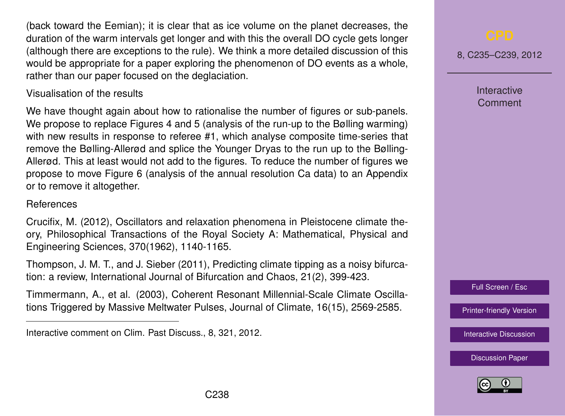(back toward the Eemian); it is clear that as ice volume on the planet decreases, the duration of the warm intervals get longer and with this the overall DO cycle gets longer (although there are exceptions to the rule). We think a more detailed discussion of this would be appropriate for a paper exploring the phenomenon of DO events as a whole, rather than our paper focused on the deglaciation.

## Visualisation of the results

We have thought again about how to rationalise the number of figures or sub-panels. We propose to replace Figures 4 and 5 (analysis of the run-up to the Bølling warming) with new results in response to referee #1, which analyse composite time-series that remove the Bølling-Allerød and splice the Younger Dryas to the run up to the Bølling-Allerød. This at least would not add to the figures. To reduce the number of figures we propose to move Figure 6 (analysis of the annual resolution Ca data) to an Appendix or to remove it altogether.

## References

Crucifix, M. (2012), Oscillators and relaxation phenomena in Pleistocene climate theory, Philosophical Transactions of the Royal Society A: Mathematical, Physical and Engineering Sciences, 370(1962), 1140-1165.

Thompson, J. M. T., and J. Sieber (2011), Predicting climate tipping as a noisy bifurcation: a review, International Journal of Bifurcation and Chaos, 21(2), 399-423.

Timmermann, A., et al. (2003), Coherent Resonant Millennial-Scale Climate Oscillations Triggered by Massive Meltwater Pulses, Journal of Climate, 16(15), 2569-2585.

8, C235–C239, 2012

**Interactive Comment** 

Full Screen / Esc

[Printer-friendly Version](http://www.clim-past-discuss.net/8/C235/2012/cpd-8-C235-2012-print.pdf)

[Interactive Discussion](http://www.clim-past-discuss.net/8/321/2012/cpd-8-321-2012-discussion.html)



Interactive comment on Clim. Past Discuss., 8, 321, 2012.